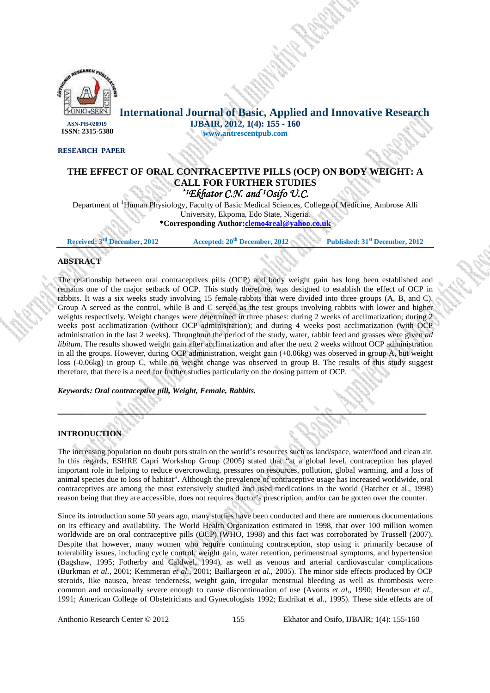

**International Journal of Basic, Applied and Innovative Research IJBAIR, 2012, 1(4): 155 - 160 ISSN: 2315-5388**

#### **RESEARCH PAPER**

## **THE EFFECT OF ORAL CONTRACEPTIVE PILLS (OCP) ON BODY WEIGHT: A CALL FOR FURTHER STUDIES**  *\*1Ekhator C.N. and 1Osifo U.C. Osifo U.C.*

**www.antrescentpub.com**

Department of <sup>1</sup>Human Physiology, Faculty of Basic Medical Sciences, College of Medicine, Ambrose Alli University, Ekpoma, Edo State, Nigeria.

**\*Corresponding Author:clemo4real@yahoo.co.uk**

**Received: 3rd December, 2012 Accepted: 20th December, 2012 Published: 31st December, 2012**

# **ABSTRACT**

The relationship between oral contraceptives pills (OCP) and body weight gain has long been established and remains one of the major setback of OCP. This study therefore, was designed to establish the effect of OCP in rabbits. It was a six weeks study involving 15 female rabbits that were divided into three groups (A, B, and C). Group A served as the control, while B and C served as the test groups involving rabbits with lower and higher weights respectively. Weight changes were determined in three phases: during 2 weeks of acclimatization; during 2 weeks post acclimatization (without OCP administration); and during 4 weeks post acclimatization (with OCP administration in the last 2 weeks). Throughout the period of the study, water, rabbit feed and grasses were given *ad libitum*. The results showed weight gain after acclimatization and after the next 2 weeks without OCP administration in all the groups. However, during OCP administration, weight gain (+0.06kg) was observed in group A, but weight loss (-0.06kg) in group C, while no weight change was observed in group B. The results of this study suggest therefore, that there is a need for further studies particularly on the dosing pattern of OCP.

#### *Keywords: Oral contraceptive pill, Weight, Female, Rabbits.*

## **INTRODUCTION**

The increasing population no doubt puts strain on the world's resources such as land/space, water/food and clean air. In this regards, ESHRE Capri Workshop Group (2005) stated that "at a global level, contraception has played important role in helping to reduce overcrowding, pressures on resources, pollution, global warming, and a loss of animal species due to loss of habitat". Although the prevalence of contraceptive usage has increased worldwide, oral contraceptives are among the most extensively studied and used medications in the world (Hatcher et al., 1998) reason being that they are accessible, does not requires doctor's prescription, and/or can be gotten over the counter.

 $\mathcal{L}^{\mathcal{A}}(z) = \mathcal{L}^{\mathcal{A}}(z)$ 

Since its introduction some 50 years ago, many studies have been conducted and there are numerous documentations on its efficacy and availability. The World Health Organization estimated in 1998, that over 100 million women worldwide are on oral contraceptive pills (OCP) (WHO, 1998) and this fact was corroborated by Trussell (2007). Despite that however, many women who require continuing contraception, stop using it primarily because of tolerability issues, including cycle control, weight gain, water retention, perimenstrual symptoms, and hypertension (Bagshaw, 1995; Fotherby and Caldwel, 1994), as well as venous and arterial cardiovascular complications (Burkman *et al.*, 2001; Kemmeran *et al.*, 2001; Baillargeon *et al.*, 2005). The minor side effects produced by OCP steroids, like nausea, breast tenderness, weight gain, irregular menstrual bleeding as well as thrombosis were common and occasionally severe enough to cause discontinuation of use (Avonts *et al,,* 1990; Henderson *et al.,*  1991; American College of Obstetricians and Gynecologists 1992; Endrikat et al., 1995). These side effects are of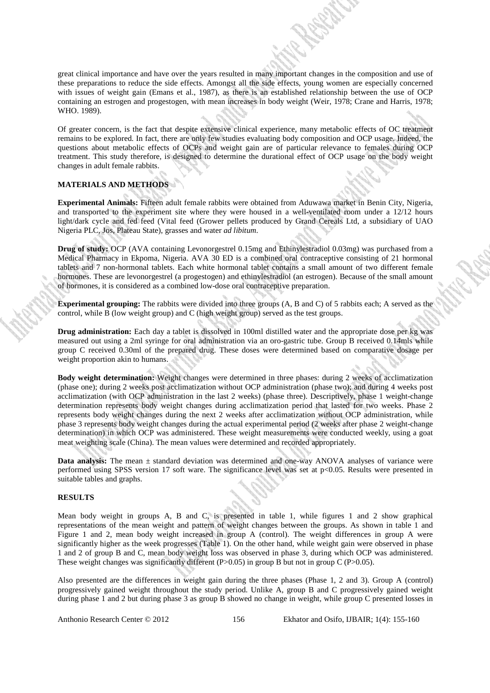great clinical importance and have over the years resulted in many important changes in the composition and use of these preparations to reduce the side effects. Amongst all the side effects, young women are especially concerned with issues of weight gain (Emans et al., 1987), as there is an established relationship between the use of OCP containing an estrogen and progestogen, with mean increases in body weight (Weir, 1978; Crane and Harris, 1978; WHO. 1989).

Of greater concern, is the fact that despite extensive clinical experience, many metabolic effects of OC treatment remains to be explored. In fact, there are only few studies evaluating body composition and OCP usage. Indeed, the questions about metabolic effects of OCPs and weight gain are of particular relevance to females during OCP treatment. This study therefore, is designed to determine the durational effect of OCP usage on the body weight changes in adult female rabbits.

#### **MATERIALS AND METHODS**

**Experimental Animals:** Fifteen adult female rabbits were obtained from Aduwawa market in Benin City, Nigeria, and transported to the experiment site where they were housed in a well-ventilated room under a 12/12 hours light/dark cycle and fed feed (Vital feed (Grower pellets produced by Grand Cereals Ltd, a subsidiary of UAO Nigeria PLC, Jos, Plateau State), grasses and water *ad libitum*.

**Drug of study:** OCP (AVA containing Levonorgestrel 0.15mg and Ethinylestradiol 0.03mg) was purchased from a Medical Pharmacy in Ekpoma, Nigeria. AVA 30 ED is a combined oral contraceptive consisting of 21 hormonal tablets and 7 non-hormonal tablets. Each white hormonal tablet contains a small amount of two different female hormones. These are levonorgestrel (a progestogen) and ethinylestradiol (an estrogen). Because of the small amount of hormones, it is considered as a combined low-dose oral contraceptive preparation.

**Experimental grouping:** The rabbits were divided into three groups (A, B and C) of 5 rabbits each; A served as the control, while B (low weight group) and C (high weight group) served as the test groups.

**Drug administration:** Each day a tablet is dissolved in 100ml distilled water and the appropriate dose per kg was measured out using a 2ml syringe for oral administration via an oro-gastric tube. Group B received 0.14mls while group C received 0.30ml of the prepared drug. These doses were determined based on comparative dosage per weight proportion akin to humans.

**Body weight determination:** Weight changes were determined in three phases: during 2 weeks of acclimatization (phase one); during 2 weeks post acclimatization without OCP administration (phase two); and during 4 weeks post acclimatization (with OCP administration in the last 2 weeks) (phase three). Descriptively, phase 1 weight-change determination represents body weight changes during acclimatization period that lasted for two weeks. Phase 2 represents body weight changes during the next 2 weeks after acclimatization without OCP administration, while phase 3 represents body weight changes during the actual experimental period (2 weeks after phase 2 weight-change determination) in which OCP was administered. These weight measurements were conducted weekly, using a goat meat weighting scale (China). The mean values were determined and recorded appropriately.

**Data analysis:** The mean  $\pm$  standard deviation was determined and one-way ANOVA analyses of variance were performed using SPSS version 17 soft ware. The significance level was set at p<0.05. Results were presented in suitable tables and graphs.

#### **RESULTS**

Mean body weight in groups A, B and C, is presented in table 1, while figures 1 and 2 show graphical representations of the mean weight and pattern of weight changes between the groups. As shown in table 1 and Figure 1 and 2, mean body weight increased in group A (control). The weight differences in group A were significantly higher as the week progresses (Table 1). On the other hand, while weight gain were observed in phase 1 and 2 of group B and C, mean body weight loss was observed in phase 3, during which OCP was administered. These weight changes was significantly different (P $>0.05$ ) in group B but not in group C (P $>0.05$ ).

Also presented are the differences in weight gain during the three phases (Phase 1, 2 and 3). Group A (control) progressively gained weight throughout the study period. Unlike A, group B and C progressively gained weight during phase 1 and 2 but during phase 3 as group B showed no change in weight, while group C presented losses in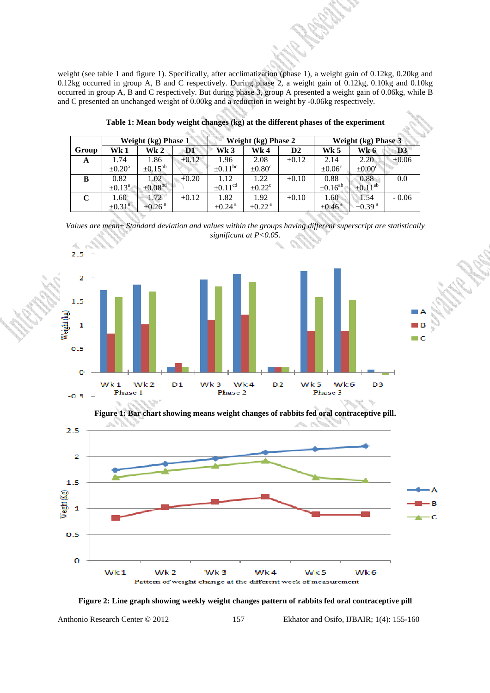weight (see table 1 and figure 1). Specifically, after acclimatization (phase 1), a weight gain of 0.12kg, 0.20kg and 0.12kg occurred in group A, B and C respectively. During phase 2, a weight gain of 0.12kg, 0.10kg and 0.10kg occurred in group A, B and C respectively. But during phase 3, group A presented a weight gain of 0.06kg, while B and C presented an unchanged weight of 0.00kg and a reduction in weight by -0.06kg respectively.

|       | Weight (kg) Phase 1     |                         |         | Weight (kg) Phase 2     |                         |                | <b>Weight (kg) Phase 3</b> |                         |                |
|-------|-------------------------|-------------------------|---------|-------------------------|-------------------------|----------------|----------------------------|-------------------------|----------------|
| Group | Wk 1                    | Wk 2                    | D1      | Wk 3                    | Wk 4                    | D <sub>2</sub> | Wk 5                       | Wk 6                    | D <sub>3</sub> |
| A     | 1.74                    | 1.86                    | $+0.12$ | 1.96                    | 2.08                    | $+0.12$        | 2.14                       | 2.20                    | $+0.06$        |
|       | $\pm 0.20^{\mathrm{a}}$ | $\pm 0.15^{ab}$         |         | $\pm 0.11^{\rm bc}$     | $\pm 0.80^{\circ}$      |                | $\pm 0.06^{\circ}$         | $\pm 0.00^{\circ}$      |                |
| B     | 0.82                    | 1.02                    | $+0.20$ | 1.12                    | 1.22                    | $+0.10$        | 0.88                       | 0.88                    | 0.0            |
|       | $\pm 0.13^{\circ}$      | $\pm 0.08^{bd}$         |         | $\pm 0.11^{\text{cd}}$  | $\pm 0.22^{\circ}$      |                | $\pm 0.16^{ab}$            | $\pm 0.11^{ab}$         |                |
| C     | 1.60                    | 1.72                    | $+0.12$ | 1.82                    | 1.92                    | $+0.10$        | 1.60                       | 1.54                    | $-0.06$        |
|       | $\pm 0.31$ <sup>a</sup> | $\pm 0.26$ <sup>a</sup> |         | $\pm 0.24$ <sup>a</sup> | $\pm 0.22$ <sup>a</sup> |                | $\pm 0.46$ <sup>a</sup>    | $\pm 0.39$ <sup>a</sup> |                |

**Table 1: Mean body weight changes (kg) at the different phases of the experiment** 

*Values are mean± Standard deviation and values within the groups having different superscript are statistically significant at P<0.05.* 



**Figure 1: Bar chart showing means weight changes of rabbits fed oral contraceptive pill.** 



**Figure 2: Line graph showing weekly weight changes pattern of rabbits fed oral contraceptive pill** 

Anthonio Research Center © 2012 157 Ekhator and Osifo, IJBAIR; 1(4): 155-160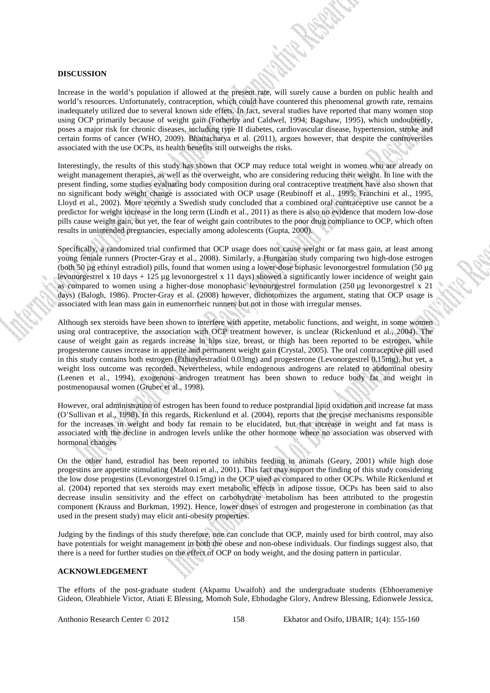#### **DISCUSSION**

Increase in the world's population if allowed at the present rate, will surely cause a burden on public health and world's resources. Unfortunately, contraception, which could have countered this phenomenal growth rate, remains inadequately utilized due to several known side effets. In fact, several studies have reported that many women stop using OCP primarily because of weight gain (Fotherby and Caldwel, 1994; Bagshaw, 1995), which undoubtedly, poses a major risk for chronic diseases, including type II diabetes, cardiovascular disease, hypertension, stroke and certain forms of cancer (WHO, 2009). Bhattacharya et al. (2011), argues however, that despite the controversies associated with the use OCPs, its health benefits still outweighs the risks.

Interestingly, the results of this study has shown that OCP may reduce total weight in women who are already on weight management therapies, as well as the overweight, who are considering reducing their weight. In line with the present finding, some studies evaluating body composition during oral contraceptive treatment have also shown that no significant body weight change is associated with OCP usage (Reubinoff et al., 1995; Franchini et al., 1995, Lloyd et al., 2002). More recently a Swedish study concluded that a combined oral contraceptive use cannot be a predictor for weight increase in the long term (Lindh et al., 2011) as there is also no evidence that modern low-dose pills cause weight gain, but yet, the fear of weight gain contributes to the poor drug compliance to OCP, which often results in unintended pregnancies, especially among adolescents (Gupta, 2000).

Specifically, a randomized trial confirmed that OCP usage does not cause weight or fat mass gain, at least among young female runners (Procter-Gray et al., 2008). Similarly, a Hungarian study comparing two high-dose estrogen (both 50 µg ethinyl estradiol) pills, found that women using a lower-dose biphasic levonorgestrel formulation (50 µg levonorgestrel x 10 days + 125 ug levonorgestrel x 11 days) showed a significantly lower incidence of weight gain as compared to women using a higher-dose monophasic levonorgestrel formulation  $(250 \text{ µg}$  levonorgestrel x  $21$ days) (Balogh, 1986). Procter-Gray et al. (2008) however, dichotomizes the argument, stating that OCP usage is associated with lean mass gain in eumenorrheic runners but not in those with irregular menses.

Although sex steroids have been shown to interfere with appetite, metabolic functions, and weight, in some women using oral contraceptive, the association with OCP treatment however, is unclear (Rickenlund et al., 2004). The cause of weight gain as regards increase in hips size, breast, or thigh has been reported to be estrogen, while progesterone causes increase in appetite and permanent weight gain **(**Crystal, 2005). The oral contraceptive pill used in this study contains both estrogen (Ethinylestradiol 0.03mg) and progesterone (Levonorgestrel 0.15mg), but yet, a weight loss outcome was recorded. Nevertheless, while endogenous androgens are related to abdominal obesity (Leenen et al., 1994), exogenous androgen treatment has been shown to reduce body fat and weight in postmenopausal women (Gruber et al., 1998).

However, oral administration of estrogen has been found to reduce postprandial lipid oxidation and increase fat mass (O'Sullivan et al., 1998). In this regards, Rickenlund et al. (2004), reports that the precise mechanisms responsible for the increases in weight and body fat remain to be elucidated, but that increase in weight and fat mass is associated with the decline in androgen levels unlike the other hormone where no association was observed with hormonal changes

On the other hand, estradiol has been reported to inhibits feeding in animals (Geary, 2001) while high dose progestins are appetite stimulating (Maltoni et al., 2001). This fact may support the finding of this study considering the low dose progestins (Levonorgestrel 0.15mg) in the OCP used as compared to other OCPs. While Rickenlund et al. (2004) reported that sex steroids may exert metabolic effects in adipose tissue, OCPs has been said to also decrease insulin sensitivity and the effect on carbohydrate metabolism has been attributed to the progestin component (Krauss and Burkman, 1992). Hence, lower doses of estrogen and progesterone in combination (as that used in the present study) may elicit anti-obesity properties.

Judging by the findings of this study therefore, one can conclude that OCP, mainly used for birth control, may also have potentials for weight management in both the obese and non-obese individuals. Our findings suggest also, that there is a need for further studies on the effect of OCP on body weight, and the dosing pattern in particular.

## **ACKNOWLEDGEMENT**

The efforts of the post-graduate student (Akpamu Uwaifoh) and the undergraduate students (Ebhoerameniye Gideon, Oleabhiele Victor, Atiati E Blessing, Momoh Sule, Ebhodaghe Glory, Andrew Blessing, Edionwele Jessica,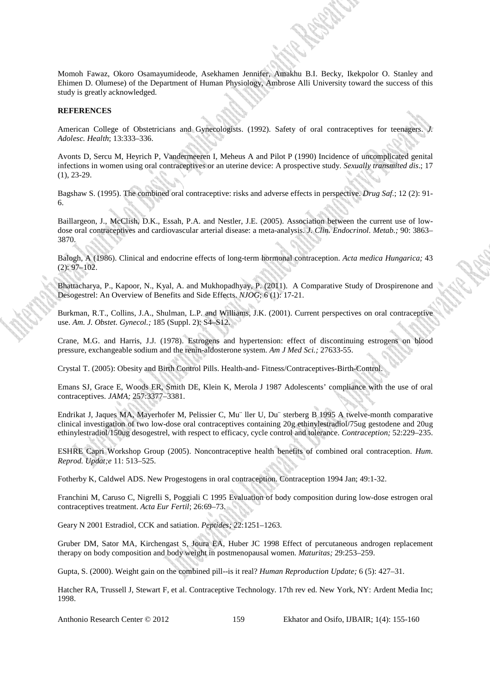Momoh Fawaz, Okoro Osamayumideode, Asekhamen Jennifer, Amakhu B.I. Becky, Ikekpolor O. Stanley and Ehimen D. Olumese) of the Department of Human Physiology, Ambrose Alli University toward the success of this study is greatly acknowledged.

#### **REFERENCES**

American College of Obstetricians and Gynecologists. (1992). Safety of oral contraceptives for teenagers. *Adolesc. Health*; 13:333–336.

Avonts D, Sercu M, Heyrich P, Vandermeeren I, Meheus A and Pilot P (1990) Incidence of uncomplicated genital infections in women using oral contraceptives or an uterine device: A prospective study. *Sexually transmited dis*.; 17 (1), 23-29.

Bagshaw S. (1995). The combined oral contraceptive: risks and adverse effects in perspective. *Drug Saf*.; 12 (2): 91- 6.

Baillargeon, J., McClish, D.K., Essah, P.A. and Nestler, J.E. (2005). Association between the current use of lowdose oral contraceptives and cardiovascular arterial disease: a meta-analysis. *J. Clin. Endocrinol. Metab.;* 90: 3863– 3870.

Balogh, A (1986). Clinical and endocrine effects of long-term hormonal contraception. *Acta medica Hungarica;* 43 (2): 97–102.

Bhattacharya, P., Kapoor, N., Kyal, A. and Mukhopadhyay, P. (2011). A Comparative Study of Drospirenone and Desogestrel: An Overview of Benefits and Side Effects. *NJOG*; 6 (1): 17-21.

Burkman, R.T., Collins, J.A., Shulman, L.P. and Williams, J.K. (2001). Current perspectives on oral contraceptive use. *Am. J. Obstet. Gynecol.;* 185 (Suppl. 2): S4–S12.

Crane, M.G. and Harris, J.J. (1978). Estrogens and hypertension: effect of discontinuing estrogens on blood pressure, exchangeable sodium and the renin-aldosterone system. *Am J Med Sci.;* 27633-55.

Crystal T. (2005): Obesity and Birth Control Pills. Health-and- Fitness/Contraceptives-Birth-Control.

Emans SJ, Grace E, Woods ER, Smith DE, Klein K, Merola J 1987 Adolescents' compliance with the use of oral contraceptives. *JAMA;* 257:3377–3381.

Endrikat J, Jaques MA, Mayerhofer M, Pelissier C, Mu¨ ller U, Du¨ sterberg B 1995 A twelve-month comparative clinical investigation of two low-dose oral contraceptives containing 20g ethinylestradiol/75ug gestodene and 20ug ethinylestradiol/150ug desogestrel, with respect to efficacy, cycle control and tolerance. *Contraception;* 52:229–235.

ESHRE Capri Workshop Group (2005). Noncontraceptive health benefits of combined oral contraception. *Hum. Reprod. Updat;e* 11: 513–525.

Fotherby K, Caldwel ADS. New Progestogens in oral contraception. Contraception 1994 Jan; 49:1-32.

Franchini M, Caruso C, Nigrelli S, Poggiali C 1995 Evaluation of body composition during low-dose estrogen oral contraceptives treatment. *Acta Eur Fertil*; 26:69–73.

Geary N 2001 Estradiol, CCK and satiation. *Peptides;* 22:1251–1263.

Gruber DM, Sator MA, Kirchengast S, Joura EA, Huber JC 1998 Effect of percutaneous androgen replacement therapy on body composition and body weight in postmenopausal women. *Maturitas;* 29:253–259.

Gupta, S. (2000). Weight gain on the combined pill--is it real? *Human Reproduction Update;* 6 (5): 427–31.

Hatcher RA, Trussell J, Stewart F, et al. Contraceptive Technology. 17th rev ed. New York, NY: Ardent Media Inc; 1998.

Anthonio Research Center  $\odot$  2012 159 Ekhator and Osifo, IJBAIR; 1(4): 155-160